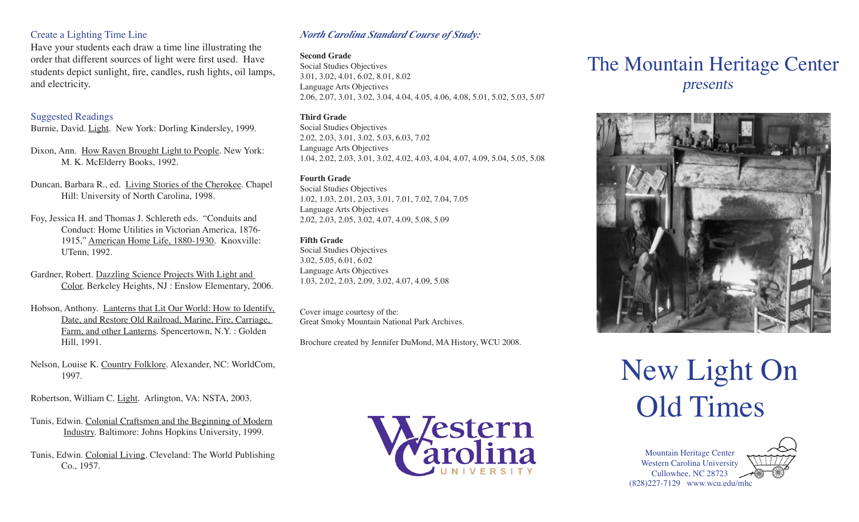#### Create a Lighting Time Line

Have your students each draw a time line illustrating the order that different sources of light were first used. Have students depict sunlight, fire, candles, rush lights, oil lamps, and electricity.

#### Suggested Readings

Burnie, David. Light. New York: Dorling Kindersley, 1999.

Dixon, Ann. How Raven Brought Light to People. New York: M. K. McElderry Books, 1992.

Duncan, Barbara R., ed. Living Stories of the Cherokee. Chapel Hill: University of North Carolina, 1998.

- Foy, Jessica H. and Thomas J. Schlereth eds. "Conduits and Conduct: Home Utilities in Victorian America, 1876- 1915," American Home Life, 1880-1930. Knoxville: UTenn, 1992.
- Gardner, Robert. Dazzling Science Projects With Light and Color. Berkeley Heights, NJ : Enslow Elementary, 2006.
- Hobson, Anthony. Lanterns that Lit Our World: How to Identify, Date, and Restore Old Railroad, Marine, Fire, Carriage, Farm, and other Lanterns. Spencertown, N.Y. : Golden Hill, 1991.
- Nelson, Louise K. Country Folklore. Alexander, NC: WorldCom, 1997.

Robertson, William C. Light. Arlington, VA: NSTA, 2003.

- Tunis, Edwin. Colonial Craftsmen and the Beginning of Modern Industry. Baltimore: Johns Hopkins University, 1999.
- Tunis, Edwin. Colonial Living. Cleveland: The World Publishing Co., 1957.

#### *North Carolina Standard Course of Study:*

#### **Second Grade**

Social Studies Objectives 3.01, 3.02, 4.01, 6.02, 8.01, 8.02 Language Arts Objectives 2.06, 2.07, 3.01, 3.02, 3.04, 4.04, 4.05, 4.06, 4.08, 5.01, 5.02, 5.03, 5.07

#### **Third Grade**

Social Studies Objectives 2.02, 2.03, 3.01, 3.02, 5.03, 6.03, 7.02 Language Arts Objectives 1.04, 2.02, 2.03, 3.01, 3.02, 4.02, 4.03, 4.04, 4.07, 4.09, 5.04, 5.05, 5.08

#### **Fourth Grade**

Social Studies Objectives 1.02, 1.03, 2.01, 2.03, 3.01, 7.01, 7.02, 7.04, 7.05 Language Arts Objectives 2.02, 2.03, 2.05, 3.02, 4.07, 4.09, 5.08, 5.09

#### **Fifth Grade**

Social Studies Objectives 3.02, 5.05, 6.01, 6.02 Language Arts Objectives 1.03, 2.02, 2.03, 2.09, 3.02, 4.07, 4.09, 5.08

Cover image courtesy of the: Great Smoky Mountain National Park Archives.

Brochure created by Jennifer DuMond, MA History, WCU 2008.



# The Mountain Heritage Center presents



# New Light On Old Times

Mountain Heritage Center Western Carolina University Cullowhee, NC 28723 (828)227-7129 www.wcu.edu/mhc